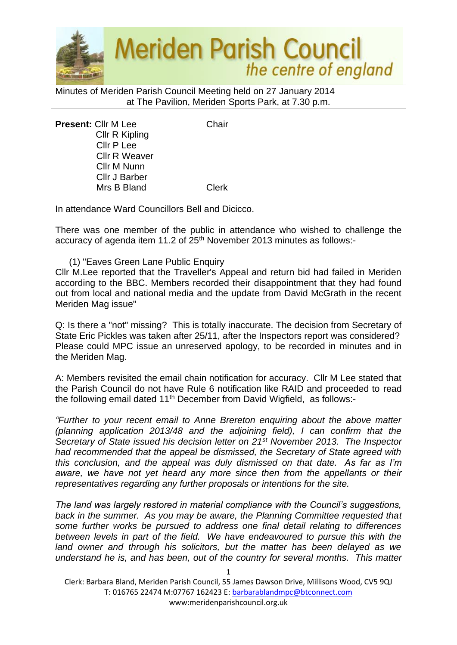

Minutes of Meriden Parish Council Meeting held on 27 January 2014 at The Pavilion, Meriden Sports Park, at 7.30 p.m.

**Present:** Cllr M Lee Chair Cllr R Kipling Cllr P Lee Cllr R Weaver Cllr M Nunn Cllr J Barber Mrs B Bland Clerk

In attendance Ward Councillors Bell and Dicicco.

There was one member of the public in attendance who wished to challenge the accuracy of agenda item 11.2 of 25<sup>th</sup> November 2013 minutes as follows:-

(1) "Eaves Green Lane Public Enquiry

Cllr M.Lee reported that the Traveller's Appeal and return bid had failed in Meriden according to the BBC. Members recorded their disappointment that they had found out from local and national media and the update from David McGrath in the recent Meriden Mag issue"

Q: Is there a "not" missing? This is totally inaccurate. The decision from Secretary of State Eric Pickles was taken after 25/11, after the Inspectors report was considered? Please could MPC issue an unreserved apology, to be recorded in minutes and in the Meriden Mag.

A: Members revisited the email chain notification for accuracy. Cllr M Lee stated that the Parish Council do not have Rule 6 notification like RAID and proceeded to read the following email dated 11<sup>th</sup> December from David Wigfield, as follows:-

*"Further to your recent email to Anne Brereton enquiring about the above matter (planning application 2013/48 and the adjoining field), I can confirm that the Secretary of State issued his decision letter on 21st November 2013. The Inspector had recommended that the appeal be dismissed, the Secretary of State agreed with this conclusion, and the appeal was duly dismissed on that date. As far as I'm*  aware, we have not yet heard any more since then from the appellants or their *representatives regarding any further proposals or intentions for the site.* 

*The land was largely restored in material compliance with the Council's suggestions, back in the summer. As you may be aware, the Planning Committee requested that some further works be pursued to address one final detail relating to differences between levels in part of the field. We have endeavoured to pursue this with the land owner and through his solicitors, but the matter has been delayed as we understand he is, and has been, out of the country for several months. This matter*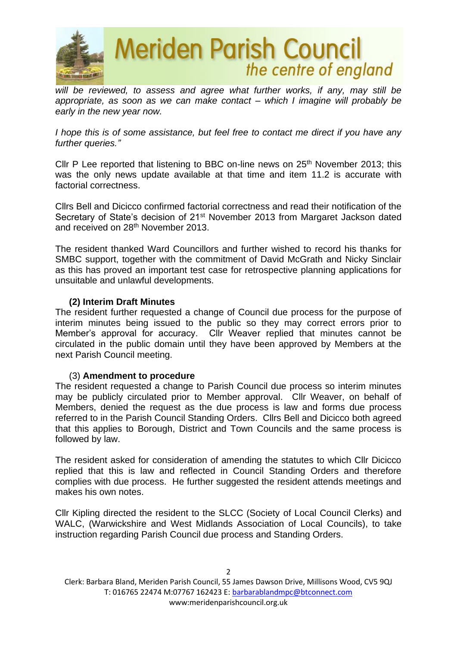

will be reviewed, to assess and agree what further works, if any, may still be *appropriate, as soon as we can make contact – which I imagine will probably be early in the new year now.* 

*I hope this is of some assistance, but feel free to contact me direct if you have any further queries."*

Cllr P Lee reported that listening to BBC on-line news on 25<sup>th</sup> November 2013; this was the only news update available at that time and item 11.2 is accurate with factorial correctness.

Cllrs Bell and Dicicco confirmed factorial correctness and read their notification of the Secretary of State's decision of 21st November 2013 from Margaret Jackson dated and received on 28<sup>th</sup> November 2013.

The resident thanked Ward Councillors and further wished to record his thanks for SMBC support, together with the commitment of David McGrath and Nicky Sinclair as this has proved an important test case for retrospective planning applications for unsuitable and unlawful developments.

## **(2) Interim Draft Minutes**

The resident further requested a change of Council due process for the purpose of interim minutes being issued to the public so they may correct errors prior to Member's approval for accuracy. Cllr Weaver replied that minutes cannot be circulated in the public domain until they have been approved by Members at the next Parish Council meeting.

#### (3) **Amendment to procedure**

The resident requested a change to Parish Council due process so interim minutes may be publicly circulated prior to Member approval. Cllr Weaver, on behalf of Members, denied the request as the due process is law and forms due process referred to in the Parish Council Standing Orders. Cllrs Bell and Dicicco both agreed that this applies to Borough, District and Town Councils and the same process is followed by law.

The resident asked for consideration of amending the statutes to which Cllr Dicicco replied that this is law and reflected in Council Standing Orders and therefore complies with due process. He further suggested the resident attends meetings and makes his own notes.

Cllr Kipling directed the resident to the SLCC (Society of Local Council Clerks) and WALC, (Warwickshire and West Midlands Association of Local Councils), to take instruction regarding Parish Council due process and Standing Orders.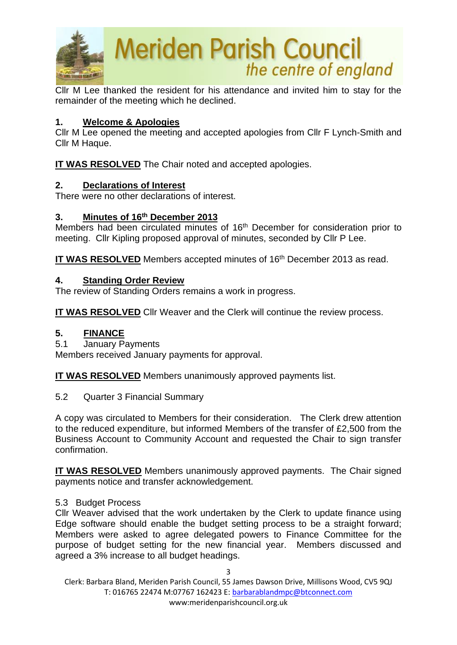

Cllr M Lee thanked the resident for his attendance and invited him to stay for the remainder of the meeting which he declined.

## **1. Welcome & Apologies**

Cllr M Lee opened the meeting and accepted apologies from Cllr F Lynch-Smith and Cllr M Haque.

**IT WAS RESOLVED** The Chair noted and accepted apologies.

## **2. Declarations of Interest**

There were no other declarations of interest.

# **3. Minutes of 16th December 2013**

Members had been circulated minutes of 16<sup>th</sup> December for consideration prior to meeting. Cllr Kipling proposed approval of minutes, seconded by Cllr P Lee.

**IT WAS RESOLVED** Members accepted minutes of 16<sup>th</sup> December 2013 as read.

## **4. Standing Order Review**

The review of Standing Orders remains a work in progress.

**IT WAS RESOLVED** Cllr Weaver and the Clerk will continue the review process.

## **5. FINANCE**

5.1 January Payments

Members received January payments for approval.

**IT WAS RESOLVED** Members unanimously approved payments list.

5.2 Quarter 3 Financial Summary

A copy was circulated to Members for their consideration. The Clerk drew attention to the reduced expenditure, but informed Members of the transfer of £2,500 from the Business Account to Community Account and requested the Chair to sign transfer confirmation.

**IT WAS RESOLVED** Members unanimously approved payments. The Chair signed payments notice and transfer acknowledgement.

## 5.3 Budget Process

Cllr Weaver advised that the work undertaken by the Clerk to update finance using Edge software should enable the budget setting process to be a straight forward; Members were asked to agree delegated powers to Finance Committee for the purpose of budget setting for the new financial year. Members discussed and agreed a 3% increase to all budget headings.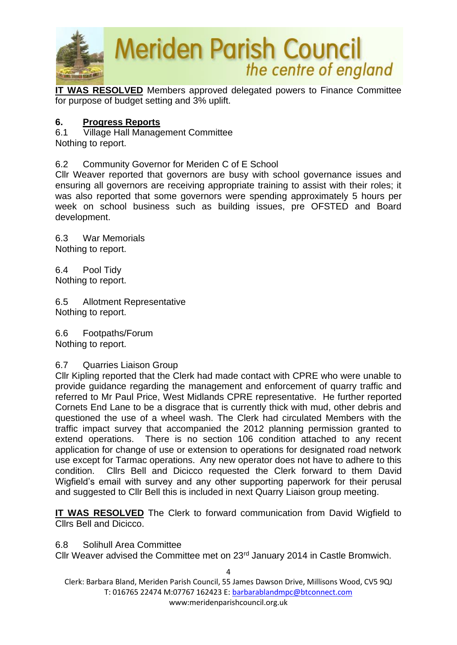

**IT WAS RESOLVED** Members approved delegated powers to Finance Committee for purpose of budget setting and 3% uplift.

## **6. Progress Reports**

6.1 Village Hall Management Committee Nothing to report.

6.2 Community Governor for Meriden C of E School

Cllr Weaver reported that governors are busy with school governance issues and ensuring all governors are receiving appropriate training to assist with their roles; it was also reported that some governors were spending approximately 5 hours per week on school business such as building issues, pre OFSTED and Board development.

6.3 War Memorials Nothing to report.

6.4 Pool Tidy Nothing to report.

6.5 Allotment Representative Nothing to report.

6.6 Footpaths/Forum Nothing to report.

## 6.7 Quarries Liaison Group

Cllr Kipling reported that the Clerk had made contact with CPRE who were unable to provide guidance regarding the management and enforcement of quarry traffic and referred to Mr Paul Price, West Midlands CPRE representative. He further reported Cornets End Lane to be a disgrace that is currently thick with mud, other debris and questioned the use of a wheel wash. The Clerk had circulated Members with the traffic impact survey that accompanied the 2012 planning permission granted to extend operations. There is no section 106 condition attached to any recent application for change of use or extension to operations for designated road network use except for Tarmac operations. Any new operator does not have to adhere to this condition. Cllrs Bell and Dicicco requested the Clerk forward to them David Wigfield's email with survey and any other supporting paperwork for their perusal and suggested to Cllr Bell this is included in next Quarry Liaison group meeting.

**IT WAS RESOLVED** The Clerk to forward communication from David Wigfield to Cllrs Bell and Dicicco.

## 6.8 Solihull Area Committee

Cllr Weaver advised the Committee met on 23rd January 2014 in Castle Bromwich.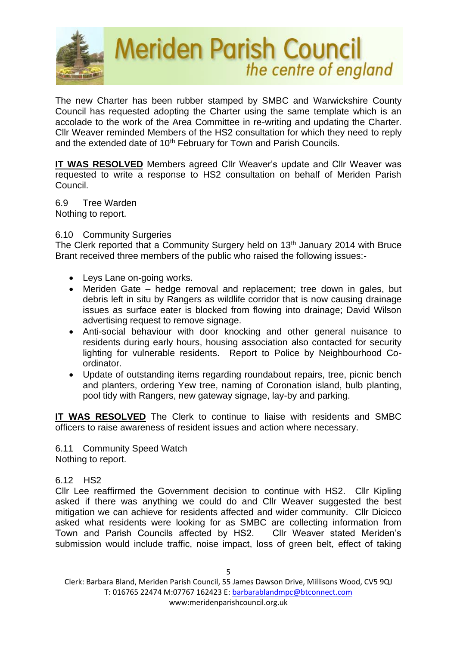

The new Charter has been rubber stamped by SMBC and Warwickshire County Council has requested adopting the Charter using the same template which is an accolade to the work of the Area Committee in re-writing and updating the Charter. Cllr Weaver reminded Members of the HS2 consultation for which they need to reply and the extended date of 10<sup>th</sup> February for Town and Parish Councils.

**IT WAS RESOLVED** Members agreed Cllr Weaver's update and Cllr Weaver was requested to write a response to HS2 consultation on behalf of Meriden Parish Council.

6.9 Tree Warden Nothing to report.

#### 6.10 Community Surgeries

The Clerk reported that a Community Surgery held on 13<sup>th</sup> January 2014 with Bruce Brant received three members of the public who raised the following issues:-

- Leys Lane on-going works.
- Meriden Gate hedge removal and replacement; tree down in gales, but debris left in situ by Rangers as wildlife corridor that is now causing drainage issues as surface eater is blocked from flowing into drainage; David Wilson advertising request to remove signage.
- Anti-social behaviour with door knocking and other general nuisance to residents during early hours, housing association also contacted for security lighting for vulnerable residents. Report to Police by Neighbourhood Coordinator.
- Update of outstanding items regarding roundabout repairs, tree, picnic bench and planters, ordering Yew tree, naming of Coronation island, bulb planting, pool tidy with Rangers, new gateway signage, lay-by and parking.

**IT WAS RESOLVED** The Clerk to continue to liaise with residents and SMBC officers to raise awareness of resident issues and action where necessary.

6.11 Community Speed Watch Nothing to report.

## 6.12 HS2

Cllr Lee reaffirmed the Government decision to continue with HS2. Cllr Kipling asked if there was anything we could do and Cllr Weaver suggested the best mitigation we can achieve for residents affected and wider community. Cllr Dicicco asked what residents were looking for as SMBC are collecting information from Town and Parish Councils affected by HS2. Cllr Weaver stated Meriden's submission would include traffic, noise impact, loss of green belt, effect of taking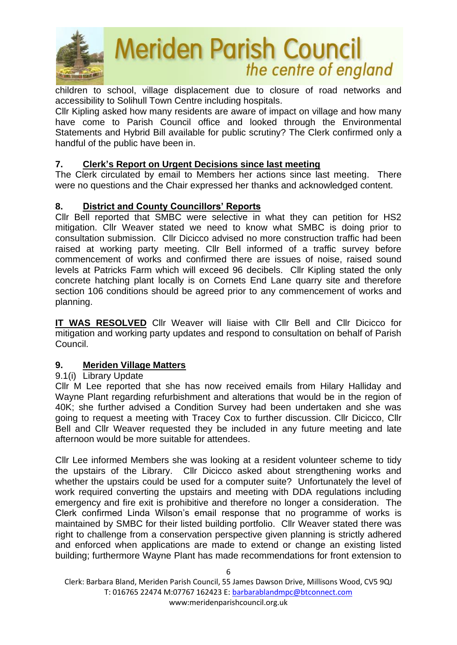

children to school, village displacement due to closure of road networks and accessibility to Solihull Town Centre including hospitals.

Cllr Kipling asked how many residents are aware of impact on village and how many have come to Parish Council office and looked through the Environmental Statements and Hybrid Bill available for public scrutiny? The Clerk confirmed only a handful of the public have been in.

# **7. Clerk's Report on Urgent Decisions since last meeting**

The Clerk circulated by email to Members her actions since last meeting. There were no questions and the Chair expressed her thanks and acknowledged content.

# **8. District and County Councillors' Reports**

Cllr Bell reported that SMBC were selective in what they can petition for HS2 mitigation. Cllr Weaver stated we need to know what SMBC is doing prior to consultation submission. Cllr Dicicco advised no more construction traffic had been raised at working party meeting. Cllr Bell informed of a traffic survey before commencement of works and confirmed there are issues of noise, raised sound levels at Patricks Farm which will exceed 96 decibels. Cllr Kipling stated the only concrete hatching plant locally is on Cornets End Lane quarry site and therefore section 106 conditions should be agreed prior to any commencement of works and planning.

**IT WAS RESOLVED** Cllr Weaver will liaise with Cllr Bell and Cllr Dicicco for mitigation and working party updates and respond to consultation on behalf of Parish Council.

# **9. Meriden Village Matters**

# 9.1(i) Library Update

Cllr M Lee reported that she has now received emails from Hilary Halliday and Wayne Plant regarding refurbishment and alterations that would be in the region of 40K; she further advised a Condition Survey had been undertaken and she was going to request a meeting with Tracey Cox to further discussion. Cllr Dicicco, Cllr Bell and Cllr Weaver requested they be included in any future meeting and late afternoon would be more suitable for attendees.

Cllr Lee informed Members she was looking at a resident volunteer scheme to tidy the upstairs of the Library. Cllr Dicicco asked about strengthening works and whether the upstairs could be used for a computer suite? Unfortunately the level of work required converting the upstairs and meeting with DDA regulations including emergency and fire exit is prohibitive and therefore no longer a consideration. The Clerk confirmed Linda Wilson's email response that no programme of works is maintained by SMBC for their listed building portfolio. Cllr Weaver stated there was right to challenge from a conservation perspective given planning is strictly adhered and enforced when applications are made to extend or change an existing listed building; furthermore Wayne Plant has made recommendations for front extension to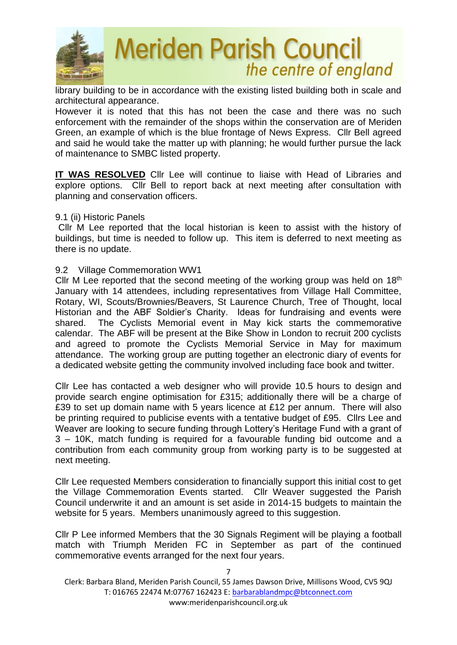

library building to be in accordance with the existing listed building both in scale and architectural appearance.

However it is noted that this has not been the case and there was no such enforcement with the remainder of the shops within the conservation are of Meriden Green, an example of which is the blue frontage of News Express. Cllr Bell agreed and said he would take the matter up with planning; he would further pursue the lack of maintenance to SMBC listed property.

**IT WAS RESOLVED** Cllr Lee will continue to liaise with Head of Libraries and explore options. Cllr Bell to report back at next meeting after consultation with planning and conservation officers.

#### 9.1 (ii) Historic Panels

 Cllr M Lee reported that the local historian is keen to assist with the history of buildings, but time is needed to follow up. This item is deferred to next meeting as there is no update.

#### 9.2 Village Commemoration WW1

Cllr M Lee reported that the second meeting of the working group was held on  $18<sup>th</sup>$ January with 14 attendees, including representatives from Village Hall Committee, Rotary, WI, Scouts/Brownies/Beavers, St Laurence Church, Tree of Thought, local Historian and the ABF Soldier's Charity. Ideas for fundraising and events were shared. The Cyclists Memorial event in May kick starts the commemorative calendar. The ABF will be present at the Bike Show in London to recruit 200 cyclists and agreed to promote the Cyclists Memorial Service in May for maximum attendance. The working group are putting together an electronic diary of events for a dedicated website getting the community involved including face book and twitter.

Cllr Lee has contacted a web designer who will provide 10.5 hours to design and provide search engine optimisation for £315; additionally there will be a charge of £39 to set up domain name with 5 years licence at £12 per annum. There will also be printing required to publicise events with a tentative budget of £95. Cllrs Lee and Weaver are looking to secure funding through Lottery's Heritage Fund with a grant of 3 – 10K, match funding is required for a favourable funding bid outcome and a contribution from each community group from working party is to be suggested at next meeting.

Cllr Lee requested Members consideration to financially support this initial cost to get the Village Commemoration Events started. Cllr Weaver suggested the Parish Council underwrite it and an amount is set aside in 2014-15 budgets to maintain the website for 5 years. Members unanimously agreed to this suggestion.

Cllr P Lee informed Members that the 30 Signals Regiment will be playing a football match with Triumph Meriden FC in September as part of the continued commemorative events arranged for the next four years.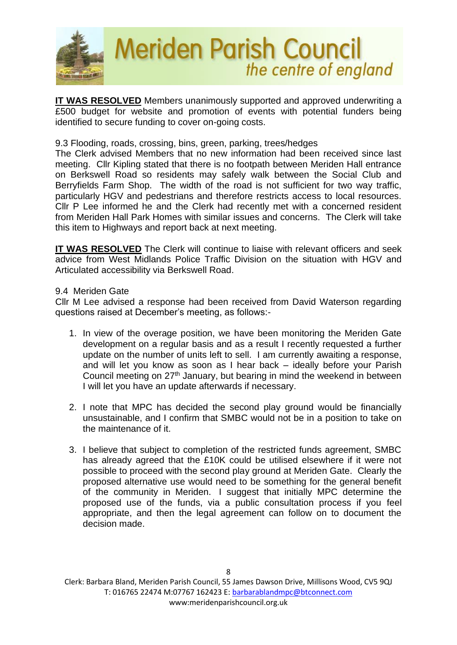

**IT WAS RESOLVED** Members unanimously supported and approved underwriting a £500 budget for website and promotion of events with potential funders being identified to secure funding to cover on-going costs.

## 9.3 Flooding, roads, crossing, bins, green, parking, trees/hedges

The Clerk advised Members that no new information had been received since last meeting. Cllr Kipling stated that there is no footpath between Meriden Hall entrance on Berkswell Road so residents may safely walk between the Social Club and Berryfields Farm Shop. The width of the road is not sufficient for two way traffic, particularly HGV and pedestrians and therefore restricts access to local resources. Cllr P Lee informed he and the Clerk had recently met with a concerned resident from Meriden Hall Park Homes with similar issues and concerns. The Clerk will take this item to Highways and report back at next meeting.

**IT WAS RESOLVED** The Clerk will continue to liaise with relevant officers and seek advice from West Midlands Police Traffic Division on the situation with HGV and Articulated accessibility via Berkswell Road.

9.4 Meriden Gate

Cllr M Lee advised a response had been received from David Waterson regarding questions raised at December's meeting, as follows:-

- 1. In view of the overage position, we have been monitoring the Meriden Gate development on a regular basis and as a result I recently requested a further update on the number of units left to sell. I am currently awaiting a response, and will let you know as soon as I hear back – ideally before your Parish Council meeting on 27<sup>th</sup> January, but bearing in mind the weekend in between I will let you have an update afterwards if necessary.
- 2. I note that MPC has decided the second play ground would be financially unsustainable, and I confirm that SMBC would not be in a position to take on the maintenance of it.
- 3. I believe that subject to completion of the restricted funds agreement, SMBC has already agreed that the £10K could be utilised elsewhere if it were not possible to proceed with the second play ground at Meriden Gate. Clearly the proposed alternative use would need to be something for the general benefit of the community in Meriden. I suggest that initially MPC determine the proposed use of the funds, via a public consultation process if you feel appropriate, and then the legal agreement can follow on to document the decision made.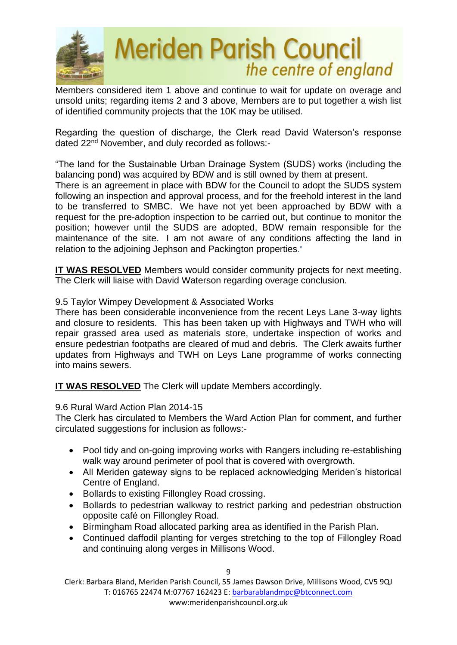

Members considered item 1 above and continue to wait for update on overage and unsold units; regarding items 2 and 3 above, Members are to put together a wish list of identified community projects that the 10K may be utilised.

Regarding the question of discharge, the Clerk read David Waterson's response dated 22<sup>nd</sup> November, and duly recorded as follows:-

"The land for the Sustainable Urban Drainage System (SUDS) works (including the balancing pond) was acquired by BDW and is still owned by them at present.

There is an agreement in place with BDW for the Council to adopt the SUDS system following an inspection and approval process, and for the freehold interest in the land to be transferred to SMBC. We have not yet been approached by BDW with a request for the pre-adoption inspection to be carried out, but continue to monitor the position; however until the SUDS are adopted, BDW remain responsible for the maintenance of the site. I am not aware of any conditions affecting the land in relation to the adjoining Jephson and Packington properties."

**IT WAS RESOLVED** Members would consider community projects for next meeting. The Clerk will liaise with David Waterson regarding overage conclusion.

## 9.5 Taylor Wimpey Development & Associated Works

There has been considerable inconvenience from the recent Leys Lane 3-way lights and closure to residents. This has been taken up with Highways and TWH who will repair grassed area used as materials store, undertake inspection of works and ensure pedestrian footpaths are cleared of mud and debris. The Clerk awaits further updates from Highways and TWH on Leys Lane programme of works connecting into mains sewers.

**IT WAS RESOLVED** The Clerk will update Members accordingly.

## 9.6 Rural Ward Action Plan 2014-15

The Clerk has circulated to Members the Ward Action Plan for comment, and further circulated suggestions for inclusion as follows:-

- Pool tidy and on-going improving works with Rangers including re-establishing walk way around perimeter of pool that is covered with overgrowth.
- All Meriden gateway signs to be replaced acknowledging Meriden's historical Centre of England.
- Bollards to existing Fillongley Road crossing.
- Bollards to pedestrian walkway to restrict parking and pedestrian obstruction opposite café on Fillongley Road.
- Birmingham Road allocated parking area as identified in the Parish Plan.
- Continued daffodil planting for verges stretching to the top of Fillongley Road and continuing along verges in Millisons Wood.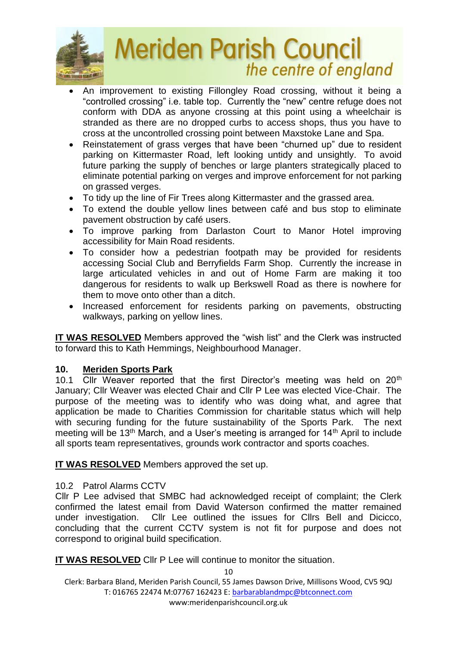

- An improvement to existing Fillongley Road crossing, without it being a "controlled crossing" i.e. table top. Currently the "new" centre refuge does not conform with DDA as anyone crossing at this point using a wheelchair is stranded as there are no dropped curbs to access shops, thus you have to cross at the uncontrolled crossing point between Maxstoke Lane and Spa.
- Reinstatement of grass verges that have been "churned up" due to resident parking on Kittermaster Road, left looking untidy and unsightly. To avoid future parking the supply of benches or large planters strategically placed to eliminate potential parking on verges and improve enforcement for not parking on grassed verges.
- To tidy up the line of Fir Trees along Kittermaster and the grassed area.
- To extend the double yellow lines between café and bus stop to eliminate pavement obstruction by café users.
- To improve parking from Darlaston Court to Manor Hotel improving accessibility for Main Road residents.
- To consider how a pedestrian footpath may be provided for residents accessing Social Club and Berryfields Farm Shop. Currently the increase in large articulated vehicles in and out of Home Farm are making it too dangerous for residents to walk up Berkswell Road as there is nowhere for them to move onto other than a ditch.
- Increased enforcement for residents parking on pavements, obstructing walkways, parking on yellow lines.

**IT WAS RESOLVED** Members approved the "wish list" and the Clerk was instructed to forward this to Kath Hemmings, Neighbourhood Manager.

# **10. Meriden Sports Park**

10.1 Cllr Weaver reported that the first Director's meeting was held on 20<sup>th</sup> January; Cllr Weaver was elected Chair and Cllr P Lee was elected Vice-Chair. The purpose of the meeting was to identify who was doing what, and agree that application be made to Charities Commission for charitable status which will help with securing funding for the future sustainability of the Sports Park. The next meeting will be 13<sup>th</sup> March, and a User's meeting is arranged for 14<sup>th</sup> April to include all sports team representatives, grounds work contractor and sports coaches.

**IT WAS RESOLVED** Members approved the set up.

# 10.2 Patrol Alarms CCTV

Cllr P Lee advised that SMBC had acknowledged receipt of complaint; the Clerk confirmed the latest email from David Waterson confirmed the matter remained under investigation. Cllr Lee outlined the issues for Cllrs Bell and Dicicco, concluding that the current CCTV system is not fit for purpose and does not correspond to original build specification.

**IT WAS RESOLVED** Cllr P Lee will continue to monitor the situation.

10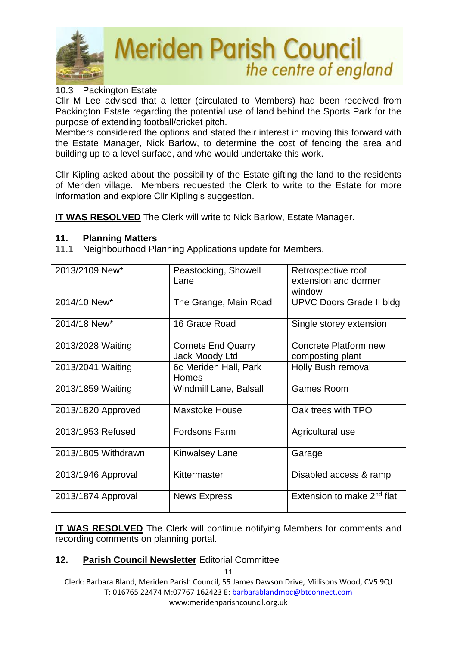

## 10.3 Packington Estate

Cllr M Lee advised that a letter (circulated to Members) had been received from Packington Estate regarding the potential use of land behind the Sports Park for the purpose of extending football/cricket pitch.

Members considered the options and stated their interest in moving this forward with the Estate Manager, Nick Barlow, to determine the cost of fencing the area and building up to a level surface, and who would undertake this work.

Cllr Kipling asked about the possibility of the Estate gifting the land to the residents of Meriden village. Members requested the Clerk to write to the Estate for more information and explore Cllr Kipling's suggestion.

**IT WAS RESOLVED** The Clerk will write to Nick Barlow, Estate Manager.

## **11. Planning Matters**

11.1 Neighbourhood Planning Applications update for Members.

| 2013/2109 New*      | Peastocking, Showell<br>Lane                | Retrospective roof<br>extension and dormer<br>window |
|---------------------|---------------------------------------------|------------------------------------------------------|
| 2014/10 New*        | The Grange, Main Road                       | <b>UPVC Doors Grade II bldg</b>                      |
| 2014/18 New*        | 16 Grace Road                               | Single storey extension                              |
| 2013/2028 Waiting   | <b>Cornets End Quarry</b><br>Jack Moody Ltd | Concrete Platform new<br>composting plant            |
| 2013/2041 Waiting   | 6c Meriden Hall, Park<br><b>Homes</b>       | Holly Bush removal                                   |
| 2013/1859 Waiting   | Windmill Lane, Balsall                      | <b>Games Room</b>                                    |
| 2013/1820 Approved  | <b>Maxstoke House</b>                       | Oak trees with TPO                                   |
| 2013/1953 Refused   | <b>Fordsons Farm</b>                        | Agricultural use                                     |
| 2013/1805 Withdrawn | <b>Kinwalsey Lane</b>                       | Garage                                               |
| 2013/1946 Approval  | Kittermaster                                | Disabled access & ramp                               |
| 2013/1874 Approval  | <b>News Express</b>                         | Extension to make 2 <sup>nd</sup> flat               |

**IT WAS RESOLVED** The Clerk will continue notifying Members for comments and recording comments on planning portal.

# **12. Parish Council Newsletter** Editorial Committee

11